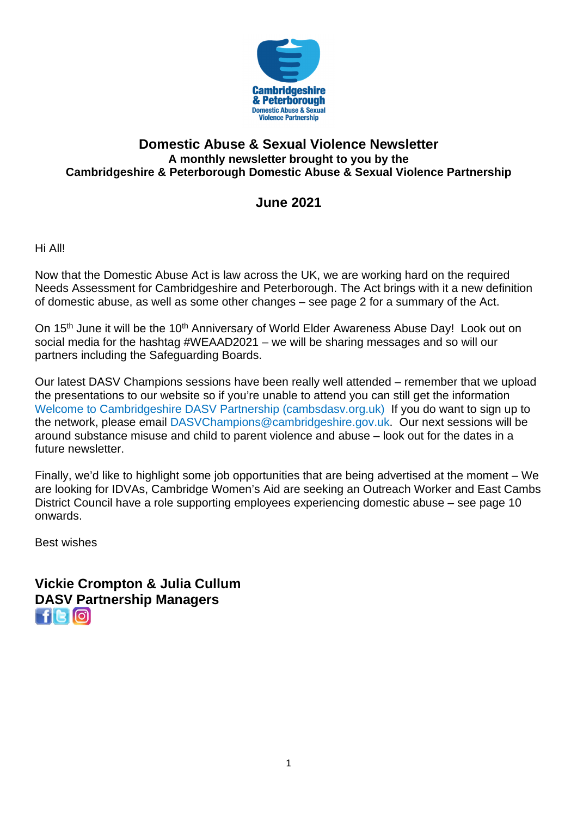

### **Domestic Abuse & Sexual Violence Newsletter A monthly newsletter brought to you by the Cambridgeshire & Peterborough Domestic Abuse & Sexual Violence Partnership**

## **June 2021**

Hi All!

Now that the Domestic Abuse Act is law across the UK, we are working hard on the required Needs Assessment for Cambridgeshire and Peterborough. The Act brings with it a new definition of domestic abuse, as well as some other changes – see page 2 for a summary of the Act.

On 15<sup>th</sup> June it will be the 10<sup>th</sup> Anniversary of World Elder Awareness Abuse Day! Look out on social media for the hashtag #WEAAD2021 – we will be sharing messages and so will our partners including the Safeguarding Boards.

Our latest DASV Champions sessions have been really well attended – remember that we upload the presentations to our website so if you're unable to attend you can still get the information Welcome to Cambridgeshire DASV Partnership (cambsdasv.org.uk)If you do want to sign up to the network, please email DASVChampions@cambridgeshire.gov.uk. Our next sessions will be around substance misuse and child to parent violence and abuse – look out for the dates in a future newsletter.

Finally, we'd like to highlight some job opportunities that are being advertised at the moment – We are looking for IDVAs, Cambridge Women's Aid are seeking an Outreach Worker and East Cambs District Council have a role supporting employees experiencing domestic abuse – see page 10 onwards.

Best wishes

**Vickie Crompton & Julia Cullum DASV Partnership Managers**   $f$  $G$  $O$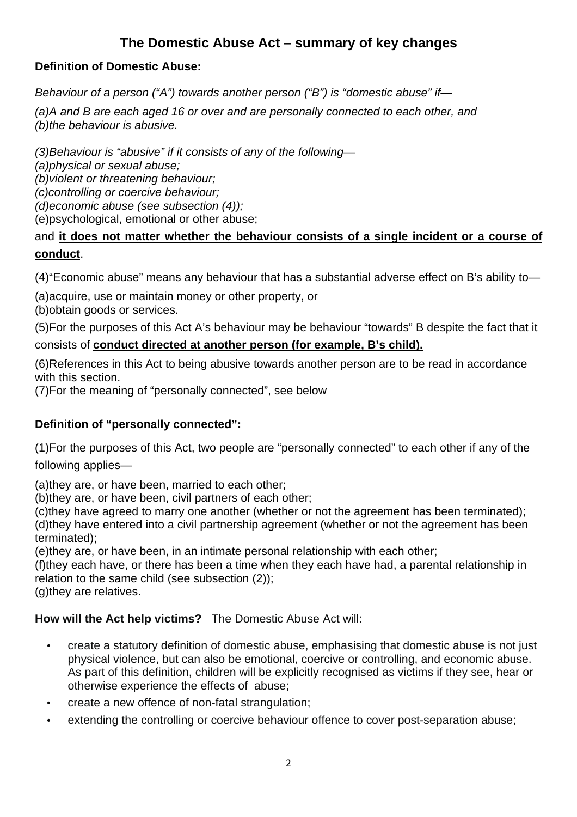## **The Domestic Abuse Act – summary of key changes**

### **Definition of Domestic Abuse:**

Behaviour of a person ("A") towards another person ("B") is "domestic abuse" if-

(a)A and B are each aged 16 or over and are personally connected to each other, and (b)the behaviour is abusive.

(3)Behaviour is "abusive" if it consists of any of the following—

(a)physical or sexual abuse;

(b)violent or threatening behaviour; (c)controlling or coercive behaviour;

(d)economic abuse (see subsection (4));

(e)psychological, emotional or other abuse;

### and **it does not matter whether the behaviour consists of a single incident or a course of conduct**.

(4)"Economic abuse" means any behaviour that has a substantial adverse effect on B's ability to—

(a)acquire, use or maintain money or other property, or

(b)obtain goods or services.

(5)For the purposes of this Act A's behaviour may be behaviour "towards" B despite the fact that it

### consists of **conduct directed at another person (for example, B's child).**

(6)References in this Act to being abusive towards another person are to be read in accordance with this section.

(7)For the meaning of "personally connected", see below

### **Definition of "personally connected":**

(1)For the purposes of this Act, two people are "personally connected" to each other if any of the following applies—

(a)they are, or have been, married to each other;

(b)they are, or have been, civil partners of each other;

(c)they have agreed to marry one another (whether or not the agreement has been terminated); (d)they have entered into a civil partnership agreement (whether or not the agreement has been terminated);

(e)they are, or have been, in an intimate personal relationship with each other;

(f)they each have, or there has been a time when they each have had, a parental relationship in relation to the same child (see subsection (2));

(g)they are relatives.

### **How will the Act help victims?** The Domestic Abuse Act will:

- create a statutory definition of domestic abuse, emphasising that domestic abuse is not just physical violence, but can also be emotional, coercive or controlling, and economic abuse. As part of this definition, children will be explicitly recognised as victims if they see, hear or otherwise experience the effects of abuse;
- create a new offence of non-fatal strangulation;
- extending the controlling or coercive behaviour offence to cover post-separation abuse;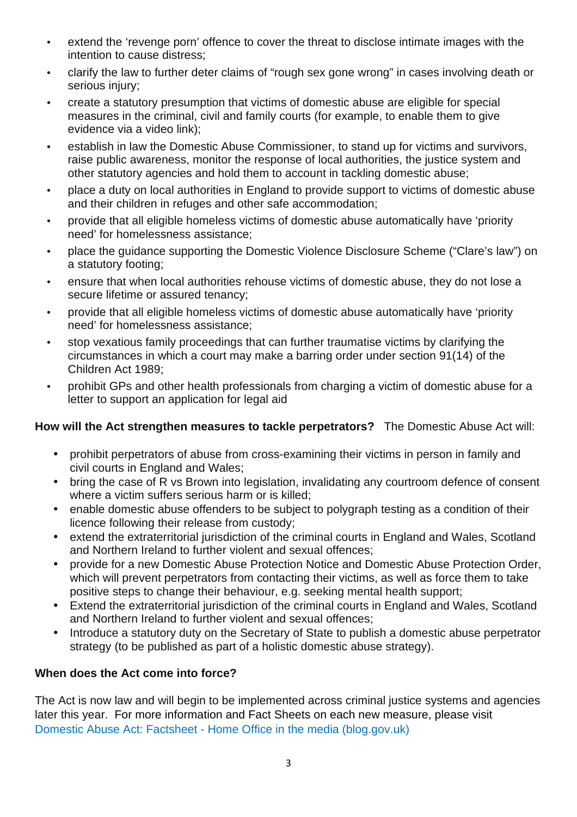- extend the 'revenge porn' offence to cover the threat to disclose intimate images with the intention to cause distress;
- clarify the law to further deter claims of "rough sex gone wrong" in cases involving death or serious injury;
- create a statutory presumption that victims of domestic abuse are eligible for special measures in the criminal, civil and family courts (for example, to enable them to give evidence via a video link);
- establish in law the Domestic Abuse Commissioner, to stand up for victims and survivors, raise public awareness, monitor the response of local authorities, the justice system and other statutory agencies and hold them to account in tackling domestic abuse;
- place a duty on local authorities in England to provide support to victims of domestic abuse and their children in refuges and other safe accommodation;
- provide that all eligible homeless victims of domestic abuse automatically have 'priority need' for homelessness assistance;
- place the guidance supporting the Domestic Violence Disclosure Scheme ("Clare's law") on a statutory footing;
- ensure that when local authorities rehouse victims of domestic abuse, they do not lose a secure lifetime or assured tenancy;
- provide that all eligible homeless victims of domestic abuse automatically have 'priority need' for homelessness assistance;
- stop vexatious family proceedings that can further traumatise victims by clarifying the circumstances in which a court may make a barring order under section 91(14) of the Children Act 1989;
- prohibit GPs and other health professionals from charging a victim of domestic abuse for a letter to support an application for legal aid

### **How will the Act strengthen measures to tackle perpetrators?** The Domestic Abuse Act will:

- prohibit perpetrators of abuse from cross-examining their victims in person in family and civil courts in England and Wales;
- bring the case of R vs Brown into legislation, invalidating any courtroom defence of consent where a victim suffers serious harm or is killed;
- enable domestic abuse offenders to be subject to polygraph testing as a condition of their licence following their release from custody;
- extend the extraterritorial jurisdiction of the criminal courts in England and Wales, Scotland and Northern Ireland to further violent and sexual offences;
- provide for a new Domestic Abuse Protection Notice and Domestic Abuse Protection Order, which will prevent perpetrators from contacting their victims, as well as force them to take positive steps to change their behaviour, e.g. seeking mental health support;
- Extend the extraterritorial jurisdiction of the criminal courts in England and Wales, Scotland and Northern Ireland to further violent and sexual offences;
- Introduce a statutory duty on the Secretary of State to publish a domestic abuse perpetrator strategy (to be published as part of a holistic domestic abuse strategy).

### **When does the Act come into force?**

The Act is now law and will begin to be implemented across criminal justice systems and agencies later this year. For more information and Fact Sheets on each new measure, please visit Domestic Abuse Act: Factsheet - Home Office in the media (blog.gov.uk)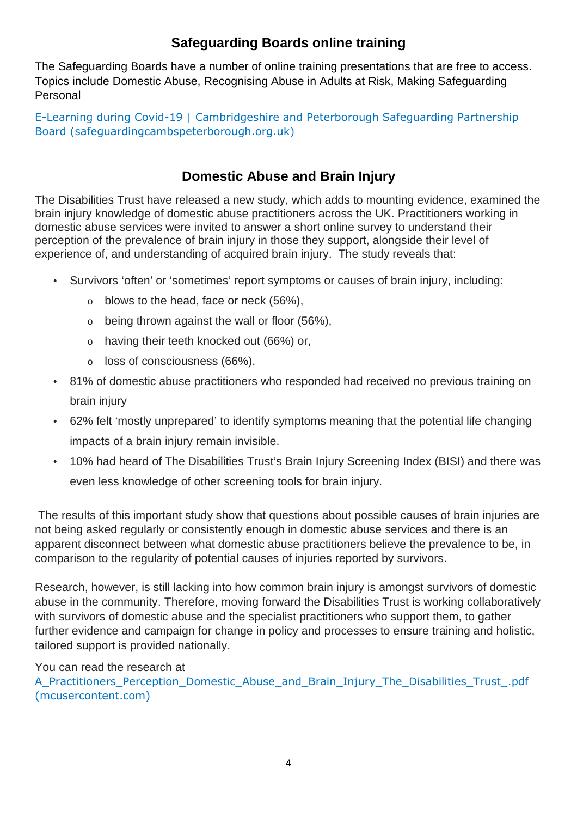# **Safeguarding Boards online training**

The Safeguarding Boards have a number of online training presentations that are free to access. Topics include Domestic Abuse, Recognising Abuse in Adults at Risk, Making Safeguarding Personal

E-Learning during Covid-19 | Cambridgeshire and Peterborough Safeguarding Partnership Board (safeguardingcambspeterborough.org.uk)

# **Domestic Abuse and Brain Injury**

The Disabilities Trust have released a new study, which adds to mounting evidence, examined the brain injury knowledge of domestic abuse practitioners across the UK. Practitioners working in domestic abuse services were invited to answer a short online survey to understand their perception of the prevalence of brain injury in those they support, alongside their level of experience of, and understanding of acquired brain injury. The study reveals that:

- Survivors 'often' or 'sometimes' report symptoms or causes of brain injury, including:
	- $\circ$  blows to the head, face or neck (56%),
	- $\circ$  being thrown against the wall or floor (56%),
	- o having their teeth knocked out (66%) or,
	- o loss of consciousness (66%).
- 81% of domestic abuse practitioners who responded had received no previous training on brain injury
- 62% felt 'mostly unprepared' to identify symptoms meaning that the potential life changing impacts of a brain injury remain invisible.
- 10% had heard of The Disabilities Trust's Brain Injury Screening Index (BISI) and there was even less knowledge of other screening tools for brain injury.

 The results of this important study show that questions about possible causes of brain injuries are not being asked regularly or consistently enough in domestic abuse services and there is an apparent disconnect between what domestic abuse practitioners believe the prevalence to be, in comparison to the regularity of potential causes of injuries reported by survivors.

Research, however, is still lacking into how common brain injury is amongst survivors of domestic abuse in the community. Therefore, moving forward the Disabilities Trust is working collaboratively with survivors of domestic abuse and the specialist practitioners who support them, to gather further evidence and campaign for change in policy and processes to ensure training and holistic, tailored support is provided nationally.

You can read the research at

A\_Practitioners\_Perception\_Domestic\_Abuse\_and\_Brain\_Injury\_The\_Disabilities\_Trust\_.pdf (mcusercontent.com)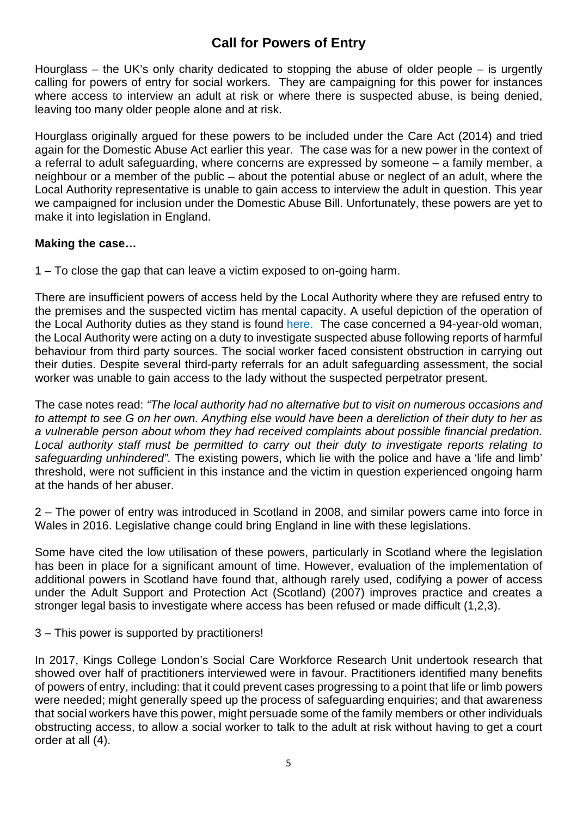## **Call for Powers of Entry**

Hourglass – the UK's only charity dedicated to stopping the abuse of older people – is urgently calling for powers of entry for social workers. They are campaigning for this power for instances where access to interview an adult at risk or where there is suspected abuse, is being denied, leaving too many older people alone and at risk.

Hourglass originally argued for these powers to be included under the Care Act (2014) and tried again for the Domestic Abuse Act earlier this year. The case was for a new power in the context of a referral to adult safeguarding, where concerns are expressed by someone – a family member, a neighbour or a member of the public – about the potential abuse or neglect of an adult, where the Local Authority representative is unable to gain access to interview the adult in question. This year we campaigned for inclusion under the Domestic Abuse Bill. Unfortunately, these powers are yet to make it into legislation in England.

#### **Making the case…**

1 – To close the gap that can leave a victim exposed to on-going harm.

There are insufficient powers of access held by the Local Authority where they are refused entry to the premises and the suspected victim has mental capacity. A useful depiction of the operation of the Local Authority duties as they stand is found here. The case concerned a 94-year-old woman, the Local Authority were acting on a duty to investigate suspected abuse following reports of harmful behaviour from third party sources. The social worker faced consistent obstruction in carrying out their duties. Despite several third-party referrals for an adult safeguarding assessment, the social worker was unable to gain access to the lady without the suspected perpetrator present.

The case notes read: "The local authority had no alternative but to visit on numerous occasions and to attempt to see G on her own. Anything else would have been a dereliction of their duty to her as a vulnerable person about whom they had received complaints about possible financial predation. Local authority staff must be permitted to carry out their duty to investigate reports relating to safeguarding unhindered". The existing powers, which lie with the police and have a 'life and limb' threshold, were not sufficient in this instance and the victim in question experienced ongoing harm at the hands of her abuser.

2 – The power of entry was introduced in Scotland in 2008, and similar powers came into force in Wales in 2016. Legislative change could bring England in line with these legislations.

Some have cited the low utilisation of these powers, particularly in Scotland where the legislation has been in place for a significant amount of time. However, evaluation of the implementation of additional powers in Scotland have found that, although rarely used, codifying a power of access under the Adult Support and Protection Act (Scotland) (2007) improves practice and creates a stronger legal basis to investigate where access has been refused or made difficult (1,2,3).

#### 3 – This power is supported by practitioners!

In 2017, Kings College London's Social Care Workforce Research Unit undertook research that showed over half of practitioners interviewed were in favour. Practitioners identified many benefits of powers of entry, including: that it could prevent cases progressing to a point that life or limb powers were needed; might generally speed up the process of safeguarding enquiries; and that awareness that social workers have this power, might persuade some of the family members or other individuals obstructing access, to allow a social worker to talk to the adult at risk without having to get a court order at all (4).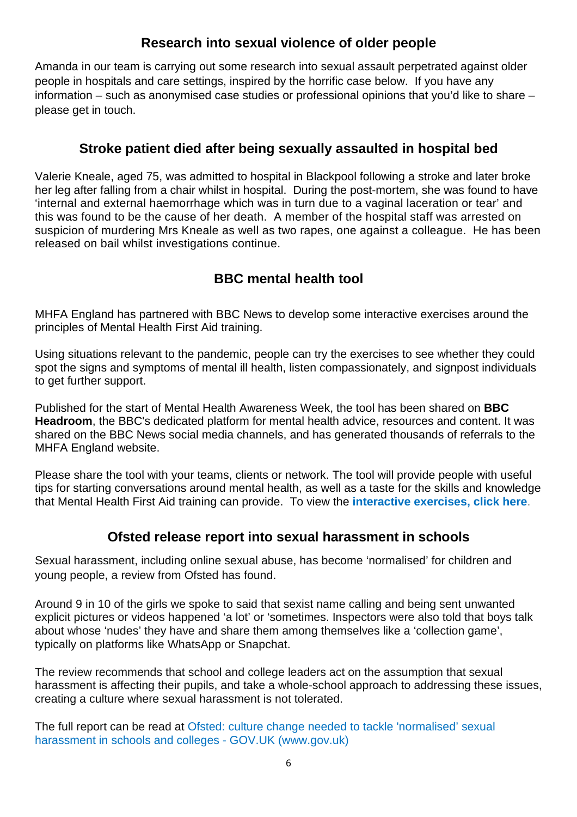## **Research into sexual violence of older people**

Amanda in our team is carrying out some research into sexual assault perpetrated against older people in hospitals and care settings, inspired by the horrific case below. If you have any information – such as anonymised case studies or professional opinions that you'd like to share – please get in touch.

## **Stroke patient died after being sexually assaulted in hospital bed**

Valerie Kneale, aged 75, was admitted to hospital in Blackpool following a stroke and later broke her leg after falling from a chair whilst in hospital. During the post-mortem, she was found to have 'internal and external haemorrhage which was in turn due to a vaginal laceration or tear' and this was found to be the cause of her death. A member of the hospital staff was arrested on suspicion of murdering Mrs Kneale as well as two rapes, one against a colleague. He has been released on bail whilst investigations continue.

# **BBC mental health tool**

MHFA England has partnered with BBC News to develop some interactive exercises around the principles of Mental Health First Aid training.

Using situations relevant to the pandemic, people can try the exercises to see whether they could spot the signs and symptoms of mental ill health, listen compassionately, and signpost individuals to get further support.

Published for the start of Mental Health Awareness Week, the tool has been shared on **BBC Headroom**, the BBC's dedicated platform for mental health advice, resources and content. It was shared on the BBC News social media channels, and has generated thousands of referrals to the MHFA England website.

Please share the tool with your teams, clients or network. The tool will provide people with useful tips for starting conversations around mental health, as well as a taste for the skills and knowledge that Mental Health First Aid training can provide. To view the **interactive exercises, click here**.

## **Ofsted release report into sexual harassment in schools**

Sexual harassment, including online sexual abuse, has become 'normalised' for children and young people, a review from Ofsted has found.

Around 9 in 10 of the girls we spoke to said that sexist name calling and being sent unwanted explicit pictures or videos happened 'a lot' or 'sometimes. Inspectors were also told that boys talk about whose 'nudes' they have and share them among themselves like a 'collection game', typically on platforms like WhatsApp or Snapchat.

The review recommends that school and college leaders act on the assumption that sexual harassment is affecting their pupils, and take a whole-school approach to addressing these issues, creating a culture where sexual harassment is not tolerated.

The full report can be read at Ofsted: culture change needed to tackle 'normalised' sexual harassment in schools and colleges - GOV.UK (www.gov.uk)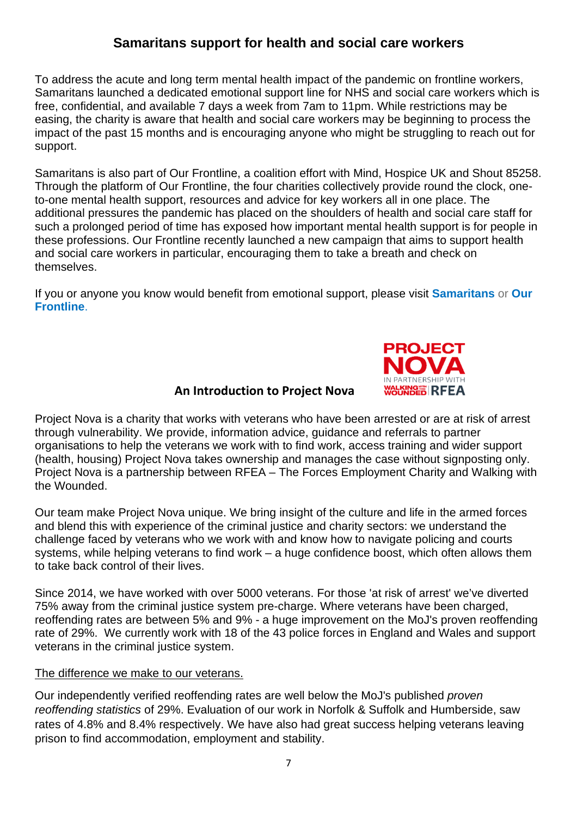## **Samaritans support for health and social care workers**

To address the acute and long term mental health impact of the pandemic on frontline workers, Samaritans launched a dedicated emotional support line for NHS and social care workers which is free, confidential, and available 7 days a week from 7am to 11pm. While restrictions may be easing, the charity is aware that health and social care workers may be beginning to process the impact of the past 15 months and is encouraging anyone who might be struggling to reach out for support.

Samaritans is also part of Our Frontline, a coalition effort with Mind, Hospice UK and Shout 85258. Through the platform of Our Frontline, the four charities collectively provide round the clock, oneto-one mental health support, resources and advice for key workers all in one place. The additional pressures the pandemic has placed on the shoulders of health and social care staff for such a prolonged period of time has exposed how important mental health support is for people in these professions. Our Frontline recently launched a new campaign that aims to support health and social care workers in particular, encouraging them to take a breath and check on themselves.

If you or anyone you know would benefit from emotional support, please visit **Samaritans** or **Our Frontline**.



### **An Introduction to Project Nova**

Project Nova is a charity that works with veterans who have been arrested or are at risk of arrest through vulnerability. We provide, information advice, guidance and referrals to partner organisations to help the veterans we work with to find work, access training and wider support (health, housing) Project Nova takes ownership and manages the case without signposting only. Project Nova is a partnership between RFEA – The Forces Employment Charity and Walking with the Wounded.

Our team make Project Nova unique. We bring insight of the culture and life in the armed forces and blend this with experience of the criminal justice and charity sectors: we understand the challenge faced by veterans who we work with and know how to navigate policing and courts systems, while helping veterans to find work – a huge confidence boost, which often allows them to take back control of their lives.

Since 2014, we have worked with over 5000 veterans. For those 'at risk of arrest' we've diverted 75% away from the criminal justice system pre-charge. Where veterans have been charged, reoffending rates are between 5% and 9% - a huge improvement on the MoJ's proven reoffending rate of 29%. We currently work with 18 of the 43 police forces in England and Wales and support veterans in the criminal justice system.

#### The difference we make to our veterans.

Our independently verified reoffending rates are well below the MoJ's published proven reoffending statistics of 29%. Evaluation of our work in Norfolk & Suffolk and Humberside, saw rates of 4.8% and 8.4% respectively. We have also had great success helping veterans leaving prison to find accommodation, employment and stability.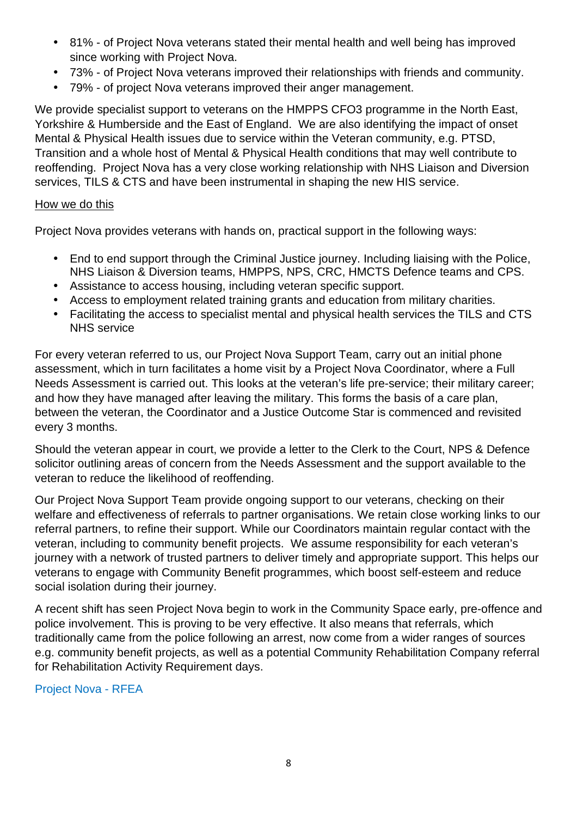- 81% of Project Nova veterans stated their mental health and well being has improved since working with Project Nova.
- 73% of Project Nova veterans improved their relationships with friends and community.
- 79% of project Nova veterans improved their anger management.

We provide specialist support to veterans on the HMPPS CFO3 programme in the North East, Yorkshire & Humberside and the East of England. We are also identifying the impact of onset Mental & Physical Health issues due to service within the Veteran community, e.g. PTSD, Transition and a whole host of Mental & Physical Health conditions that may well contribute to reoffending. Project Nova has a very close working relationship with NHS Liaison and Diversion services, TILS & CTS and have been instrumental in shaping the new HIS service.

#### How we do this

Project Nova provides veterans with hands on, practical support in the following ways:

- End to end support through the Criminal Justice journey. Including liaising with the Police, NHS Liaison & Diversion teams, HMPPS, NPS, CRC, HMCTS Defence teams and CPS.
- Assistance to access housing, including veteran specific support.
- Access to employment related training grants and education from military charities.
- Facilitating the access to specialist mental and physical health services the TILS and CTS NHS service

For every veteran referred to us, our Project Nova Support Team, carry out an initial phone assessment, which in turn facilitates a home visit by a Project Nova Coordinator, where a Full Needs Assessment is carried out. This looks at the veteran's life pre-service; their military career; and how they have managed after leaving the military. This forms the basis of a care plan, between the veteran, the Coordinator and a Justice Outcome Star is commenced and revisited every 3 months.

Should the veteran appear in court, we provide a letter to the Clerk to the Court, NPS & Defence solicitor outlining areas of concern from the Needs Assessment and the support available to the veteran to reduce the likelihood of reoffending.

Our Project Nova Support Team provide ongoing support to our veterans, checking on their welfare and effectiveness of referrals to partner organisations. We retain close working links to our referral partners, to refine their support. While our Coordinators maintain regular contact with the veteran, including to community benefit projects. We assume responsibility for each veteran's journey with a network of trusted partners to deliver timely and appropriate support. This helps our veterans to engage with Community Benefit programmes, which boost self-esteem and reduce social isolation during their journey.

A recent shift has seen Project Nova begin to work in the Community Space early, pre-offence and police involvement. This is proving to be very effective. It also means that referrals, which traditionally came from the police following an arrest, now come from a wider ranges of sources e.g. community benefit projects, as well as a potential Community Rehabilitation Company referral for Rehabilitation Activity Requirement days.

Project Nova - RFEA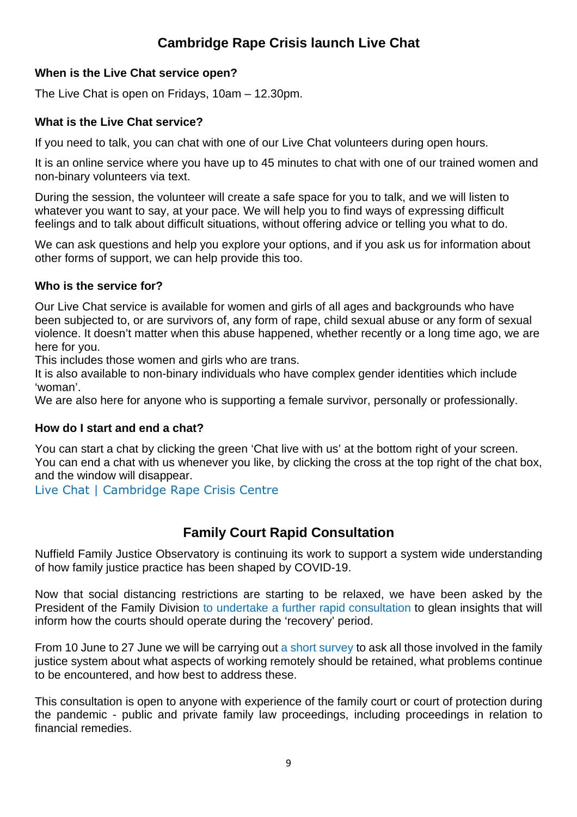# **Cambridge Rape Crisis launch Live Chat**

### **When is the Live Chat service open?**

The Live Chat is open on Fridays, 10am – 12.30pm.

### **What is the Live Chat service?**

If you need to talk, you can chat with one of our Live Chat volunteers during open hours.

It is an online service where you have up to 45 minutes to chat with one of our trained women and non-binary volunteers via text.

During the session, the volunteer will create a safe space for you to talk, and we will listen to whatever you want to say, at your pace. We will help you to find ways of expressing difficult feelings and to talk about difficult situations, without offering advice or telling you what to do.

We can ask questions and help you explore your options, and if you ask us for information about other forms of support, we can help provide this too.

### **Who is the service for?**

Our Live Chat service is available for women and girls of all ages and backgrounds who have been subjected to, or are survivors of, any form of rape, child sexual abuse or any form of sexual violence. It doesn't matter when this abuse happened, whether recently or a long time ago, we are here for you.

This includes those women and girls who are trans.

It is also available to non-binary individuals who have complex gender identities which include 'woman'.

We are also here for anyone who is supporting a female survivor, personally or professionally.

### **How do I start and end a chat?**

You can start a chat by clicking the green 'Chat live with us' at the bottom right of your screen. You can end a chat with us whenever you like, by clicking the cross at the top right of the chat box, and the window will disappear.

Live Chat | Cambridge Rape Crisis Centre

## **Family Court Rapid Consultation**

Nuffield Family Justice Observatory is continuing its work to support a system wide understanding of how family justice practice has been shaped by COVID-19.

Now that social distancing restrictions are starting to be relaxed, we have been asked by the President of the Family Division to undertake a further rapid consultation to glean insights that will inform how the courts should operate during the 'recovery' period.

From 10 June to 27 June we will be carrying out a short survey to ask all those involved in the family justice system about what aspects of working remotely should be retained, what problems continue to be encountered, and how best to address these.

This consultation is open to anyone with experience of the family court or court of protection during the pandemic - public and private family law proceedings, including proceedings in relation to financial remedies.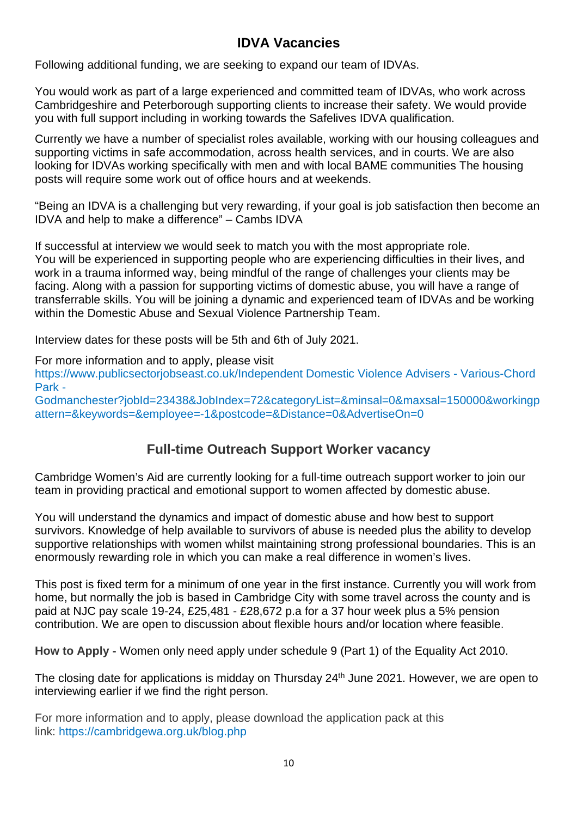## **IDVA Vacancies**

Following additional funding, we are seeking to expand our team of IDVAs.

You would work as part of a large experienced and committed team of IDVAs, who work across Cambridgeshire and Peterborough supporting clients to increase their safety. We would provide you with full support including in working towards the Safelives IDVA qualification.

Currently we have a number of specialist roles available, working with our housing colleagues and supporting victims in safe accommodation, across health services, and in courts. We are also looking for IDVAs working specifically with men and with local BAME communities The housing posts will require some work out of office hours and at weekends.

"Being an IDVA is a challenging but very rewarding, if your goal is job satisfaction then become an IDVA and help to make a difference" – Cambs IDVA

If successful at interview we would seek to match you with the most appropriate role. You will be experienced in supporting people who are experiencing difficulties in their lives, and work in a trauma informed way, being mindful of the range of challenges your clients may be facing. Along with a passion for supporting victims of domestic abuse, you will have a range of transferrable skills. You will be joining a dynamic and experienced team of IDVAs and be working within the Domestic Abuse and Sexual Violence Partnership Team.

Interview dates for these posts will be 5th and 6th of July 2021.

For more information and to apply, please visit

https://www.publicsectorjobseast.co.uk/Independent Domestic Violence Advisers - Various-Chord Park -

Godmanchester?jobId=23438&JobIndex=72&categoryList=&minsal=0&maxsal=150000&workingp attern=&keywords=&employee=-1&postcode=&Distance=0&AdvertiseOn=0

## **Full-time Outreach Support Worker vacancy**

Cambridge Women's Aid are currently looking for a full-time outreach support worker to join our team in providing practical and emotional support to women affected by domestic abuse.

You will understand the dynamics and impact of domestic abuse and how best to support survivors. Knowledge of help available to survivors of abuse is needed plus the ability to develop supportive relationships with women whilst maintaining strong professional boundaries. This is an enormously rewarding role in which you can make a real difference in women's lives.

This post is fixed term for a minimum of one year in the first instance. Currently you will work from home, but normally the job is based in Cambridge City with some travel across the county and is paid at NJC pay scale 19-24, £25,481 - £28,672 p.a for a 37 hour week plus a 5% pension contribution. We are open to discussion about flexible hours and/or location where feasible.

**How to Apply -** Women only need apply under schedule 9 (Part 1) of the Equality Act 2010.

The closing date for applications is midday on Thursday 24<sup>th</sup> June 2021. However, we are open to interviewing earlier if we find the right person.

For more information and to apply, please download the application pack at this link: https://cambridgewa.org.uk/blog.php